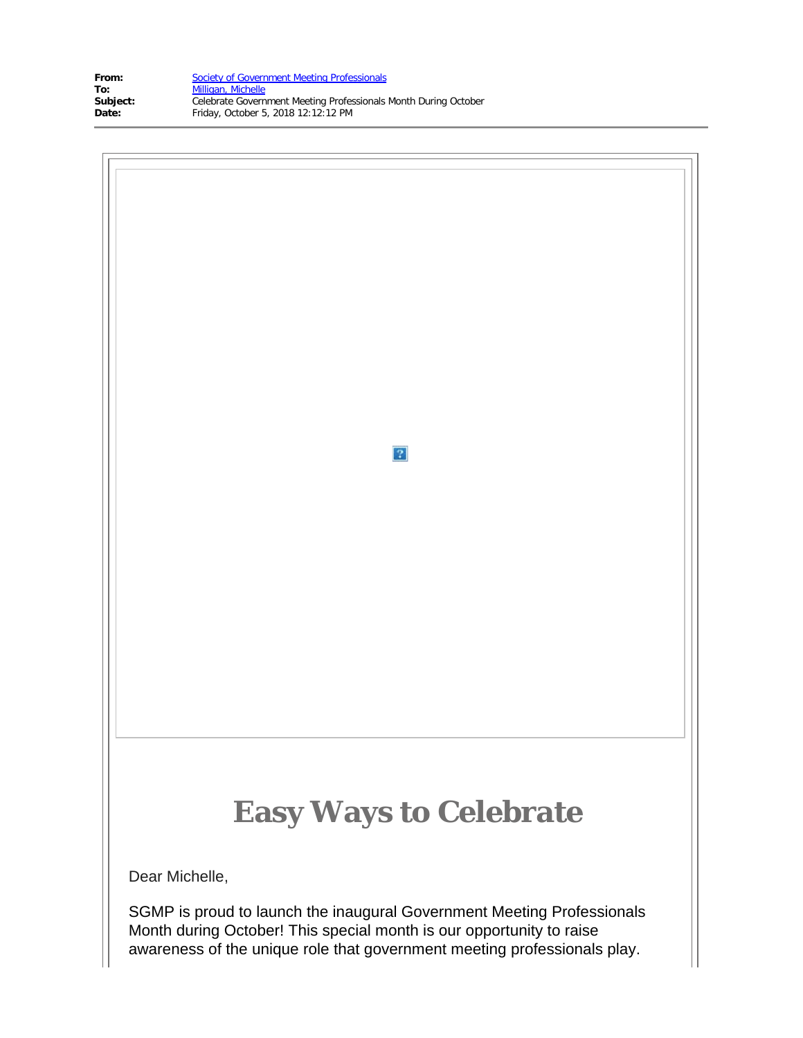| From:    | Society of Government Meeting Professionals                     |
|----------|-----------------------------------------------------------------|
| To:      | Milligan, Michelle                                              |
| Subject: | Celebrate Government Meeting Professionals Month During October |
| Date:    | Friday, October 5, 2018 12:12:12 PM                             |